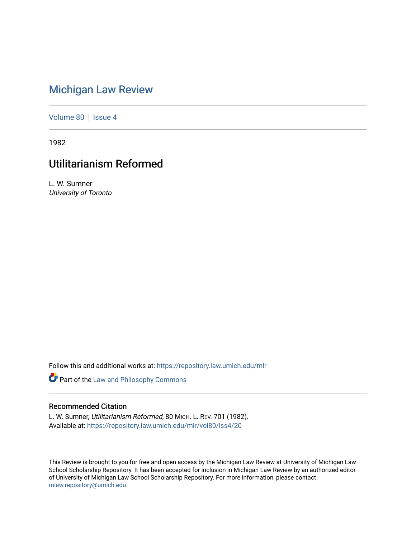# [Michigan Law Review](https://repository.law.umich.edu/mlr)

[Volume 80](https://repository.law.umich.edu/mlr/vol80) | [Issue 4](https://repository.law.umich.edu/mlr/vol80/iss4)

1982

## Utilitarianism Reformed

L. W. Sumner University of Toronto

Follow this and additional works at: [https://repository.law.umich.edu/mlr](https://repository.law.umich.edu/mlr?utm_source=repository.law.umich.edu%2Fmlr%2Fvol80%2Fiss4%2F20&utm_medium=PDF&utm_campaign=PDFCoverPages) 

Part of the [Law and Philosophy Commons](http://network.bepress.com/hgg/discipline/1299?utm_source=repository.law.umich.edu%2Fmlr%2Fvol80%2Fiss4%2F20&utm_medium=PDF&utm_campaign=PDFCoverPages) 

### Recommended Citation

L. W. Sumner, Utilitarianism Reformed, 80 MICH. L. REV. 701 (1982). Available at: [https://repository.law.umich.edu/mlr/vol80/iss4/20](https://repository.law.umich.edu/mlr/vol80/iss4/20?utm_source=repository.law.umich.edu%2Fmlr%2Fvol80%2Fiss4%2F20&utm_medium=PDF&utm_campaign=PDFCoverPages) 

This Review is brought to you for free and open access by the Michigan Law Review at University of Michigan Law School Scholarship Repository. It has been accepted for inclusion in Michigan Law Review by an authorized editor of University of Michigan Law School Scholarship Repository. For more information, please contact [mlaw.repository@umich.edu.](mailto:mlaw.repository@umich.edu)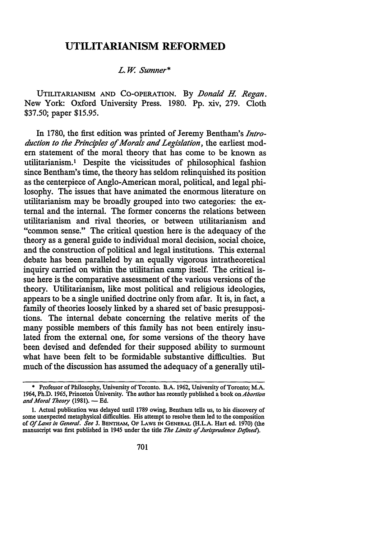### **UTILITARIANISM REFORMED**

#### *L.* W. *Sumner\**

UTILITARIANISM AND CO-OPERATION. By *Donald H. Regan*. New York: Oxford University Press. 1980. Pp. xiv, 279. Cloth \$37.50; paper \$15.95.

In 1780, the first edition was printed of Jeremy Bentham's *Introduction to the Principles of Morals and Legislation,* the earliest modem statement of the moral theory that has come to be known as utilitarianism. 1 Despite the vicissitudes of philosophical fashion since Bentham's time, the theory has seldom relinquished its position as the centerpiece of Anglo-American moral, political, and legal philosophy. The issues that have animated the enormous literature on utilitarianism may be broadly grouped into two categories: the external and the internal. The former concerns the relations between utilitarianism and rival theories, or between utilitarianism and "common sense." The critical question here is the adequacy of the theory as a general guide to individual moral decision, social choice, and the construction of political and legal institutions. This external debate has been paralleled by an equally vigorous intratheoretical inquiry carried on within the utilitarian camp itself. The critical issue here is the comparative assessment of the various versions of the theory. Utilitarianism, like most political and religious ideologies, appears to be a single unified doctrine only from afar. It is, in fact, a family of theories loosely linked by a shared set of basic presuppositions. The internal debate concerning the relative merits of the many possible members of this family has not been entirely insulated from the external one, for some versions of the theory have been devised and defended for their supposed ability to surmount what have been felt to be formidable substantive difficulties. But much of the discussion has assumed the adequacy of a generally util-

<sup>•</sup> Professor of Philosophy, University of Toronto. B.A. 1962, University of Toronto; **M.A.**  1964, Ph.D. 1965, Princeton University. The author has recently published a book on *Abortion*  and Moral Theory (1981). - Ed.

I. Actual publication was delayed until 1789 owing, Bentham tells us, to his discovery of some unexpected metaphysical difficulties. His attempt to resolve them led to the composition of *Of Laws in General. See* J. BENTHAM, OF LAWS IN GENERAL (H.L.A. Hart ed. 1970) (the manuscript was first published in 1945 under the title *The Limits of Jurisprudence Defined*).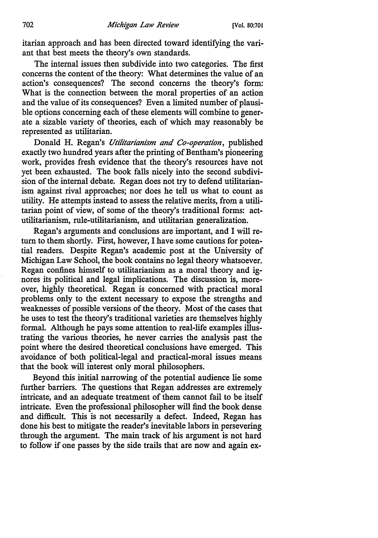itarian approach and has been directed toward identifying the variant that best meets the theory's own standards.

The internal issues then subdivide into two categories. The first concerns the content of the theory: What determines the value of an action's consequences? The second concerns the theory's form: What is the connection between the moral properties of an action and the value of its consequences? Even a limited number of plausible options concerning each of these elements will combine to generate a sizable variety of theories, each of which may reasonably be represented as utilitarian.

Donald H. Regan's *Utilitarianism and Co-operation,* published exactly two hundred years after the printing of Bentham's pioneering work, provides fresh evidence that the theory's resources have not yet been exhausted. The book falls nicely into the second subdivision of the internal debate. Regan does not try to defend utilitarianism against rival approaches; nor does he tell us what to count as utility. He attempts instead to assess the relative merits, from a utilitarian point of view, of some of the theory's traditional forms: actutilitarianism, rule-utilitarianism, and utilitarian generalization.

Regan's arguments and conclusions are important, and I will return to them shortly. First, however, I have some cautions for potential readers. Despite Regan's academic post at the University of Michigan Law School, the book contains no legal theory whatsoever. Regan confines himself to utilitarianism as a moral theory and ignores its political and legal implications. The discussion is, moreover, highly theoretical. Regan is concerned with practical moral problems only to the extent necessary to expose the strengths and weaknesses of possible versions of the theory. Most of the cases that he uses to test the theory's traditional varieties are themselves highly formal. Although he pays some attention to real-life examples illustrating the various theories, he never carries the analysis past the point where the desired theoretical conclusions have emerged. This avoidance of both political-legal and practical-moral issues means that the book will interest only moral philosophers.

Beyond this initial narrowing of the potential audience lie some further barriers. The questions that Regan addresses are extremely intricate, and an adequate treatment of them cannot fail to be itself intricate. Even the professional philosopher will find the book dense and difficult. This is not necessarily a defect. Indeed, Regan has done his best to mitigate the reader's inevitable labors in persevering through the argument. The main track of his argument is not hard to follow if one passes by the side trails that are now and again ex-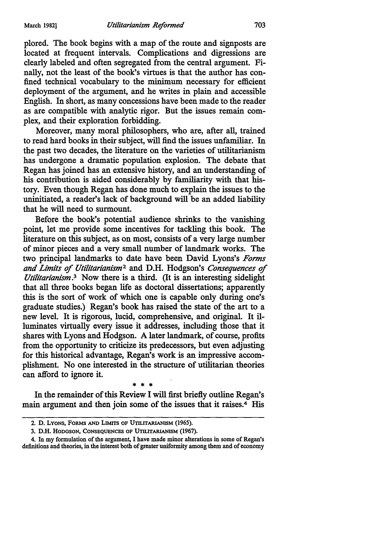plored. The book begins with a map of the route and signposts are located at frequent intervals. Complications and digressions are clearly labeled and often segregated from the central argument. Finally, not the least of the book's virtues is that the author has confined technical vocabulary to the minimum necessary for efficient deployment of the argument, and he writes in plain and accessible English. In short, as many concessions have been made to the reader as are compatible with analytic rigor. But the issues remain complex, and their exploration forbidding.

Moreover, many moral philosophers, who are, after all, trained to read hard books in their subject, will find the issues unfamiliar. In the past two decades, the literature on the varieties of utilitarianism has undergone a dramatic population explosion. The debate that Regan has joined has an extensive history, and an understanding of his contribution is aided considerably by familiarity with that history. Even though Regan has done much to explain the issues to the uninitiated, a reader's lack of background will be an added liability that he will need to surmount.

Before the book's potential audience shrinks to the vanishing point, let me provide some incentives for tackling this book. The literature on this subject, as on most, consists of a very large number of minor pieces and a very small number of landmark works. The two principal landmarks to date have been David Lyons's *Forms and Limits* of *Utilitarianism*<sup>2</sup>and D.H. Hodgson's *Consequences* of *Utilitarianism.*3 Now there is a third. (It is an interesting sidelight that all three books began life as doctoral dissertations; apparently this is the sort of work of which one is capable only during one's graduate studies.) Regan's book has raised the state of the art to a new level. It is rigorous, lucid, comprehensive, and original. It illuminates virtually every issue it addresses, including those that it shares with Lyons and Hodgson. A later landmark, of course, profits from the opportunity to criticize its predecessors, but even adjusting for this historical advantage, Regan's work is an impressive accomplishment. No one interested in the structure of utilitarian theories can afford to ignore it.

\* \* \* In the remainder of this Review I will first briefly outline Regan's main argument and then join some of the issues that it raises.<sup>4</sup> His

<sup>2.</sup> D. LYONS, FORMS AND LIMITS OF UTILITARIANISM (196S).

<sup>3.</sup> D.H. HODGSON, CONSEQUENCES OF UTILlTARIANISM (1967).

<sup>4.</sup> In my formulation of the argument, I have made minor alterations in some of Regan's definitions and theories, in the interest both of greater uniformity among them and of economy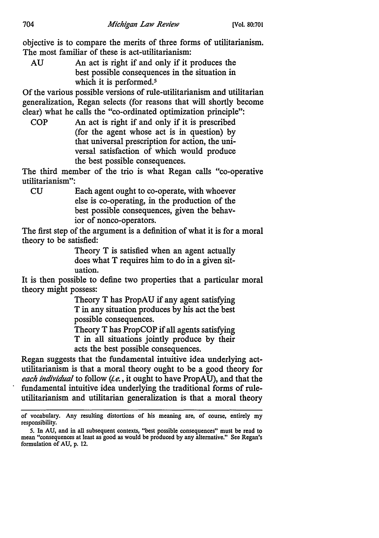objective is to compare the merits of three forms of utilitarianism. The most familiar of these is act-utilitarianism:

AU An act is right if and only if it produces the best possible consequences in the situation in which it is performed.<sup>5</sup>

Of the various possible versions of rule-utilitarianism and utilitarian generalization, Regan selects (for reasons that will shortly become clear) what he calls the "co-ordinated optimization principle":

COP An act is right if and only if it is prescribed (for the agent whose act is in question) by that universal prescription for action, the universal satisfaction of which would produce the best possible consequences.

The third member of the trio is what Regan calls "co-operative utilitarianism":

CU Each agent ought to co-operate, with whoever else is co-operating, in the production of the best possible consequences, given the behavior of nonce-operators.

The first step of the argument is a definition of what it is for a moral theory to be satisfied:

> Theory T is satisfied when an agent actually does what T requires him to do in a given situation.

It is then possible to define two properties that a particular moral theory might possess:

> Theory T has PropAU if any agent satisfying T in any situation produces by his act the best possible consequences.

> Theory T has PropCOP if all agents satisfying

T in all situations jointly produce by their acts the best possible consequences.

Regan suggests that the fundamental intuitive idea underlying actutilitarianism is that a moral theory ought to be a good theory for *each individual* to follow *(i.e.,* it ought to have PropAU), and that the fundamental intuitive idea underlying the traditional forms of ruleutilitarianism and utilitarian generalization is that a moral theory

of vocabulary. Any resulting distortions of his meaning are, of course, entirely my responsibility.

*<sup>5.</sup>* In AU, and in all subsequent contexts, "best possible consequences" must be read to mean "consequences at least as good as would be produced by any alternative." See Regan's formulation of AU, p. 12.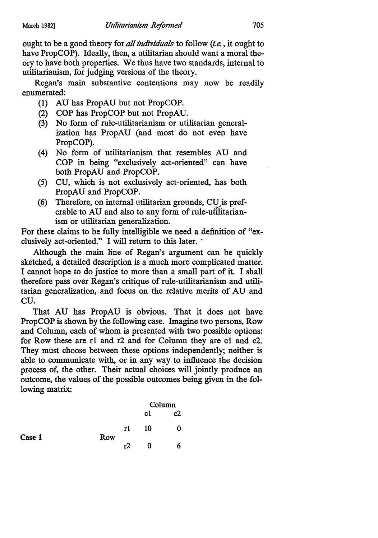ought to be a good theory for *all individuals* to follow *(!.e.,* it ought to have PropCOP). Ideally, then, a utilitarian should want a moral theory to have both properties. We thus have two standards, internal to utilitarianism, for judging versions of the theory.

Regan's main substantive contentions may now be readily enumerated:

- **(1)** AU has PropAU but not PropCOP.
- (2) COP has PropCOP but not PropAU.
- (3) No form of rule-utilitarianism or utilitarian generalization has PropAU (and most do not even have PropCOP).
- (4) No form of utilitarianism that resembles AU and COP in being "exclusively act-oriented" can have both PropAU and PropCOP.
- (5) CU, which is not exclusively act-oriented, has both PropAU and PropCOP.
- (6) Therefore, on internal utilitarian grounds, CU is preferable to AU and also to any form of rule-utilitarianism or utilitarian generalization.

For these claims to be fully intelligible we need a definition of "exclusively act-oriented." I will return to this later.

Although the main line of Regan's argument can be quickly sketched, a detailed description is a much more complicated matter. I cannot hope to do justice to more than a small part of it. I shall therefore pass over Regan's critique of rule-utilitarianism and utilitarian generalization, and focus on the relative merits of AU and cu.

That AU has PropAU is obvious. That it does not have PropCOP is shown by the following case. Imagine two persons, Row and Column, each of whom is presented with two possible options: for Row these are rl and r2 and for Column they are cl and c2. They must choose between these options independently; neither is able to communicate with, or in any way to influence the decision process of, the other. Their actual choices will jointly produce an outcome, the values of the possible outcomes being given in the following matrix:

|        |     |    | Column |    |  |
|--------|-----|----|--------|----|--|
|        |     |    | c1     | c2 |  |
| Case 1 | Row | rl | 10     | 0  |  |
|        |     | т2 | 0      | 6  |  |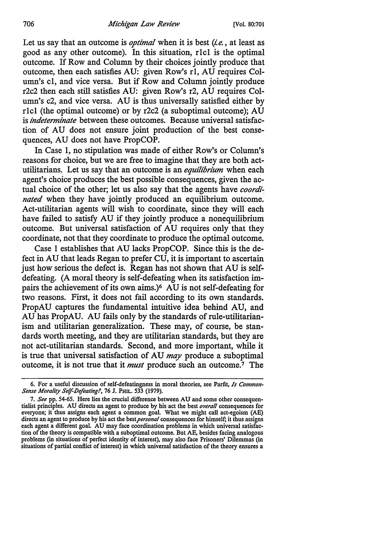Let us say that an outcome is *optimal* when it is best *(ie.,* at least as good as any other outcome). In this situation, rlcl is the optimal outcome. If Row and Column by their choices jointly produce that outcome, then each satisfies AU: given Row's rl, AU requires Column's cl, and vice versa. But if Row and Column jointly produce r2c2 then each still satisfies AU: given Row's r2, AU requires Column's c2, and vice versa. AU is thus universally satisfied either by rlcl (the optimal outcome) or by r2c2 (a suboptimal outcome); AU is *indeterminate* between these outcomes. Because universal satisfaction of AU does not ensure joint production of the best consequences, AU does not have PropCOP.

In Case 1, no stipulation was made of either Row's or Column's reasons for choice, but we are free to imagine that they are both actutilitarians. Let us say that an outcome is an *equilibrium* when each agent's choice produces the best possible consequences, given the actual choice of the other; let us also say that the agents have *coordinated* when they have jointly produced an equilibrium outcome. Act-utilitarian agents will wish to coordinate, since they will each have failed to satisfy AU if they jointly produce a nonequilibrium outcome. But universal satisfaction of AU requires only that they coordinate, not that they coordinate to produce the optimal outcome.

Case 1 establishes that AU lacks PropCOP. Since this is the defect in AU that leads Regan to prefer CU, it is important to ascertain just how serious the defect is. Regan has not shown that AU is selfdefeating. (A moral theory is self-defeating when its satisfaction impairs the achievement of its own aims.)6 AU is not self-defeating for two reasons. First, it does not fail according to its own standards. PropAU captures the fundamental intuitive idea behind AU, and AU has PropAU. AU fails only by the standards of rule-utilitarianism and utilitarian generalization. These may, of course, be standards worth meeting, and they are utilitarian standards, but they are not act-utilitarian standards. Second, and more important, while it is true that universal satisfaction of AU *may* produce a suboptimal outcome, it is not true that it *must* produce such an outcome.<sup>7</sup> The

<sup>6.</sup> For a useful discussion of self-defeatingness in moral theories, see Parfit, *Is Common-Sense Morality Se!f-IJefeating?,* 76 J. PHIL. 533 (1979).

<sup>7.</sup> *See* pp. 54-65. Here lies the crucial difference between AU and some other consequentialist principles. AU directs an agent to produce by his act the best *overall* consequences for everyone; it thus assigns each agent a common goal. What we might call act-egoism (AE) directs an agent to produce by his act the best *personal* consequences for himself; it thus assigns each agent a different goal. AU may face coordination problems in which universal satisfaction of the theory is compatible with a suboptimal outcome. But AE, besides facing analogous problems (in situations of perfect identity of interest), may also face Prisoners' Dilemmas (in situations of partial conflict of interest) in which universal satisfaction of the theory ensures a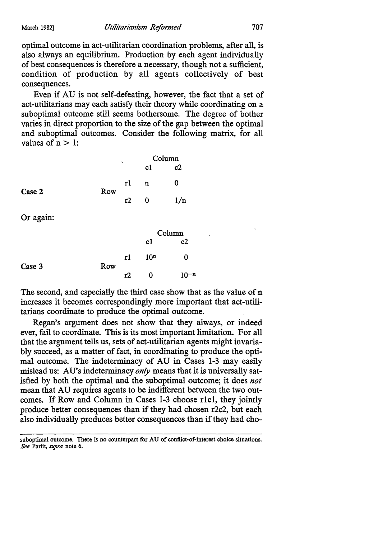optimal outcome in act-utilitarian coordination problems, after all, is also always an equilibrium. Production by each agent individually of best consequences is therefore a necessary, though not a sufficient, condition of production by all agents collectively of best consequences.

Even if AU is not self-defeating, however, the fact that a set of act-utilitarians may each satisfy their theory while coordinating on a suboptimal outcome still seems bothersome. The degree of bother varies in direct proportion to the size of the gap between the optimal and suboptimal outcomes. Consider the following matrix, for all values of  $n > 1$ :

|        |     | ٠  | Column |     |  |
|--------|-----|----|--------|-----|--|
|        |     |    | cl     | c2  |  |
| Case 2 | Row | rl | n      | 0   |  |
|        |     | r2 | 0      | 1/n |  |

Or again:

|        |     |    | Column          |            |  |
|--------|-----|----|-----------------|------------|--|
|        |     |    | cl              | c2         |  |
|        |     | rl | 10 <sup>n</sup> | o          |  |
| Case 3 | Row | т2 | 0               | <b>1-n</b> |  |

The second, and especially the third case show that as the value of n increases it becomes correspondingly more important that act-utilitarians coordinate to produce the optimal outcome.

Regan's argument does not show that they always, or indeed ever, fail to coordinate. This is its most important limitation. For all that the argument tells us, sets of act-utilitarian agents might invariably succeed, as a matter of fact, in coordinating to produce the optimal outcome. The indeterminacy of AU in Cases 1-3 may easily mislead us: AU's indeterminacy *only* means that it is universally satisfied by both the optimal and the suboptimal outcome; it does *not*  mean that AU requires agents to be indifferent between the two outcomes. If Row and Column in Cases 1-3 choose rlcl, they jointly produce better consequences than if they had chosen r2c2, but each also individually produces better consequences than if they had cho~

suboptimal outcome. There is no counterpart for AU of conflict-of-interest choice situations. *See* Parfit, *supra* note 6.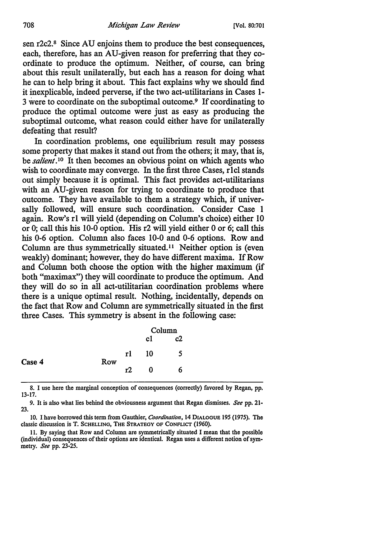sen r2c2.8 Since AU enjoins them to produce the best consequences, each, therefore, has an AU-given reason for preferring that they coordinate to produce the optimum. Neither, of course, can bring about this result unilaterally, but each has a reason for doing what he can to help bring it about. This fact explains why we should find it inexplicable, indeed perverse, if the two act-utilitarians in Cases 1- <sup>3</sup>were to coordinate on the suboptimal outcome.9 If coordinating to produce the optimal outcome were just as easy as producing the suboptimal outcome, what reason could either have for unilaterally defeating that result?

In coordination problems, one equilibrium result may possess some property that makes it stand out from the others; it may, that is, be *salient.* 10 It then becomes an obvious point on which agents who wish to coordinate may converge. In the first three Cases, rlcl stands out simply because it is optimal. This fact provides act-utilitarians with an AU-given reason for trying to coordinate to produce that outcome. They have available to them a strategy which, if universally followed, will ensure such coordination. Consider Case 1 again. Row's r1 will yield (depending on Column's choice) either 10 or 0; call this his 10-0 option. His r2 will yield either 0 or 6; call this his 0-6 option. Column also faces 10-0 and 0-6 options. Row and Column are thus symmetrically situated.<sup>11</sup> Neither option is (even weakly) dominant; however, they do have different maxima. If Row and Column both choose the option with the higher maximum (if both "maximax") they will coordinate to produce the optimum. And they will do so in all act-utilitarian coordination problems where there is a unique optimal result. Nothing, incidentally, depends on the fact that Row and Column are symmetrically situated in the first three Cases. This symmetry is absent in the following case:

|        |     |     | Column |    |  |
|--------|-----|-----|--------|----|--|
|        |     |     | cl     | c2 |  |
| Case 4 | Row | r1  | 10     | 5  |  |
|        |     | т2. | ŋ      | ь  |  |

8. I use here the marginal conception of consequences (correctly) favored by Regan, pp. 13-17.

9. It is also what lies behind the obviousness argument that Regan dismisses. *See* pp. 21- 23.

11. By saying that Row and Column are symmetrically situated I mean that the possible (individual) consequences of their options are identical. Regan uses a different notion of symmetry. *See* pp. 23-25.

IO. I have borrowed this term from Gauthier, *Coordination,* 14 DIALOGUE 195 (1975). The classic discussion is T. SCHELLING, THE STRATEGY OF CONFLICT (1960).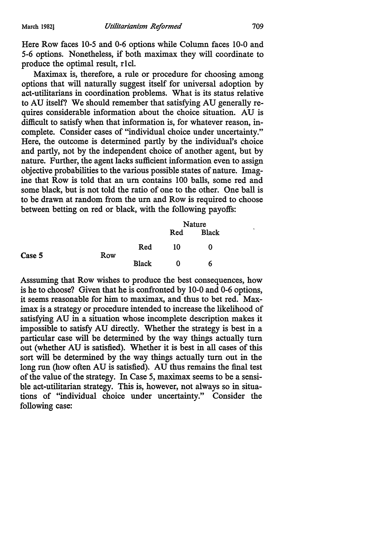Here Row faces 10-5 and 0-6 options while Column faces 10-0 and 5-6 options. Nonetheless, if both maximax they will coordinate to produce the optimal result, rlcl.

Maximax is, therefore, a rule or procedure for choosing among options that will naturally suggest itself for universal adoption by act-utilitarians in coordination problems. What is its status relative to AU itself? We should remember that satisfying AU generally requires considerable information about the choice situation. AU is difficult to satisfy when that information is, for whatever reason, incomplete. Consider cases of "individual choice under uncertainty." Here, the outcome is determined partly by the individual's choice and partly, not by the independent choice of another agent, but by nature. Further, the agent lacks sufficient information even to assign objective probabilities to the various possible states of nature. Imagine that Row is told that an um contains 100 balls, some red and some black, but is not told the ratio of one to the other. One ball is to be drawn at random from the um and Row is required to choose between betting on red or black, with the following payoffs:

Case 5 Row Red Black Nature Red Black IO 0  $\mathbf 0$ 6

Asssuming that Row wishes to produce the best consequences, how is he to choose? Given that he is confronted by 10-0 and 0-6 options, it seems reasonable for him to maximax, and thus to bet red. Maximax is a strategy or procedure intended to increase the likelihood of satisfying AU in a situation whose incomplete description makes it impossible to satisfy AU directly. Whether the strategy is best in a particular case will be determined by the way things actually tum out (whether AU is satisfied). Whether it is best in all cases of this sort will be determined by the way things actually tum out in the long run (how often AU is satisfied). AU thus remains the final test of the value of the strategy. In Case 5, maximax seems to be a sensible act-utilitarian strategy. This is, however, not always so in situations of "individual choice under uncertainty." Consider the following case: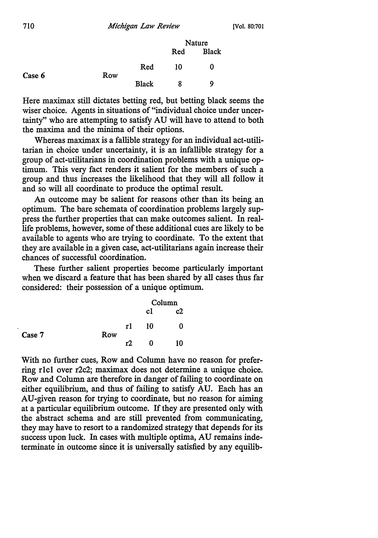|        |     |              | Nature |              |
|--------|-----|--------------|--------|--------------|
|        |     |              | Red    | <b>Black</b> |
| Case 6 | Row | Red          | 10     | 0            |
|        |     | <b>Black</b> | 8      | 9            |

Here maximax still dictates betting red, but betting black seems the wiser choice. Agents in situations of "individual choice under uncertainty" who are attempting to satisfy AU will have to attend to both the maxima and the minima of their options.

Whereas maximax is a fallible strategy for an individual act-utilitarian in choice under uncertainty, it is an infallible strategy for a group of act-utilitarians in coordination problems with a unique optimum. This very fact renders it salient for the members of such a group and thus increases the likelihood that they will all follow it and so will all coordinate to produce the optimal result.

An outcome may be salient for reasons other than its being an optimum. The bare schemata of coordination problems largely suppress the further properties that can make outcomes salient. In reallife problems, however, some of these additional cues are likely to be available to agents who are trying to coordinate. To the extent that they are available in a given case, act-utilitarians again increase their chances of successful coordination.

These further salient properties become particularly important when we discard a feature that has been shared by all cases thus far considered: their possession of a unique optimum.

|        |     |    | Column |    |
|--------|-----|----|--------|----|
|        |     |    | сl     | c2 |
| Case 7 | Row | rl | 10     | 0  |
|        |     | r) | O      | 10 |

With no further cues, Row and Column have no reason for preferring rlcl over r2c2; maximax does not determine a unique choice. Row and Column are therefore in danger of failing to coordinate on either equilibrium, and thus of failing to satisfy AU. Each has an AU-given reason for trying to coordinate, but no reason for aiming at a particular equilibrium outcome. If they are presented only with the abstract schema and are still prevented from communicating, they may have to resort to a randomized strategy that depends for its success upon luck. In cases with multiple optima, AU remains indeterminate in outcome since it is universally satisfied by any equilib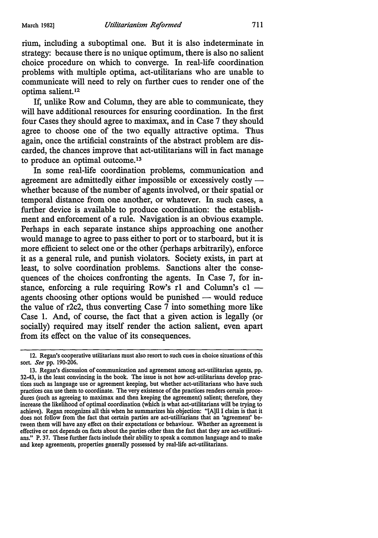rium, including a suboptimal one. But it is also indeterminate in strategy: because there is no unique optimum, there is also no salient choice procedure on which to converge. In real-life coordination problems with multiple optima, act-utilitarians who are unable to communicate will need to rely on further cues to render one of the optima salient. <sup>12</sup>

If, unlike Row and Column, they are able to communicate, they will have additional resources for ensuring coordination. In the first four Cases they should agree to maximax, and in Case 7 they should agree to choose one of the two equally attractive optima. Thus again, once the artificial constraints of the abstract problem are discarded, the chances improve that act-utilitarians will in fact manage to produce an optimal outcome.<sup>13</sup>

In some real-life coordination problems, communication and agreement are admittedly either impossible or excessively costly whether because of the number of agents involved, or their spatial or temporal distance from one another, or whatever. In such cases, a further device is available to produce coordination: the establishment and enforcement of a rule. Navigation is an obvious example. Perhaps in each separate instance ships approaching one another would manage to agree to pass either to port or to starboard, but it is more efficient to select one or the other (perhaps arbitrarily), enforce it as a general rule, and punish violators. Society exists, in part at least, to solve coordination problems. Sanctions alter the consequences of the choices confronting the agents. In Case 7, for instance, enforcing a rule requiring Row's r1 and Column's  $cl$  agents choosing other options would be punished  $-$  would reduce the value of r2c2, thus converting Case  $\overline{7}$  into something more like Case 1. And, of course, the fact that a given action is legally ( or socially) required may itself render the action salient, even apart from its effect on the value of its consequences.

<sup>12.</sup> Regan's cooperative utilitarians must also resort to such cues in choice situations of this sort. *See* pp. 190-206.

<sup>13.</sup> Regan's discussion of communication and agreement among act-utilitarian agents, pp. 32-43, is the least convincing in the book. The issue is not how act-utilitarians develop practices such as language use or agreement keeping, but whether act-utilitarians who have such practices can use them to coordinate. The very existence of the practices renders cenain procedures (such as agreeing to maximax and then keeping the agreement) salient; therefore, they increase the likelihood of optimal coordination (which is what act-utilitarians will be trying to achieve). Regan recognizes all this when he summarizes his objection: "[A]ll I claim is that it does not follow from the fact that certain parties are act-utilitarians that an 'agreement' between them will have any effect on their expectations or behaviour. Whether an agreement is effective or not depends on facts about the parties other than the fact that they are act-utilitarians." P. 37. These further facts include their ability to speak a common language and to make and keep agreements, properties generally possessed by real-life act-utilitarians.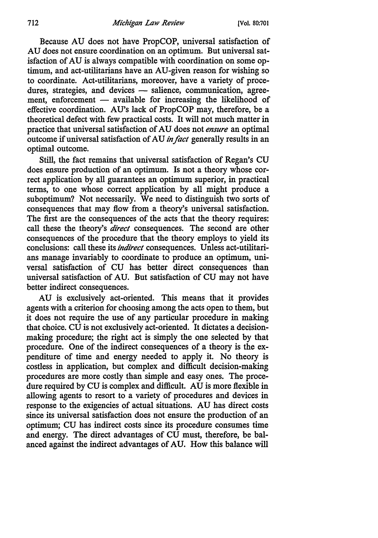Because AU does not have PropCOP, universal satisfaction of AU does not ensure coordination on an optimum. But universal satisfaction of AU is always compatible with coordination on some optimum, and act-utilitarians have an AU-given reason for wishing so to coordinate. Act-utilitarians, moreover, have a variety of procedures, strategies, and devices - salience, communication, agreement, enforcement - available for increasing the likelihood of effective coordination. AU's lack of PropCOP may, therefore, be a theoretical defect with few practical costs. It will not much matter in practice that universal satisfaction of AU does not *ensure* an optimal outcome if universal satisfaction of AU *in fact* generally results in an optimal outcome.

Still, the fact remains that universal satisfaction of Regan's CU does ensure production of an optimum. Is not a theory whose correct application by all guarantees an optimum superior, in practical terms, to one whose correct application by all might produce a suboptimum? Not necessarily. We need to distinguish two sorts of consequences that may flow from a theory's universal satisfaction. The first are the consequences of the acts that the theory requires: call these the theory's *direct* consequences. The second are other consequences of the procedure that the theory employs to yield its conclusions: call these its *indirect* consequences. Unless act-utilitarians manage invariably to coordinate to produce an optimum, universal satisfaction of CU has better direct consequences than universal satisfaction of AU. But satisfaction of CU may not have better indirect consequences.

AU is exclusively act-oriented. This means that it provides agents with a criterion for choosing among the acts open to them, but it does not require the use of any particular procedure in making that choice. CU is not exclusively act-oriented. It dictates a decisionmaking procedure; the right act is simply the one selected by that procedure. One of the indirect consequences of a theory is the expenditure of time and energy needed to apply it. No theory is costless in application, but complex and difficult decision-making procedures are more costly than simple and easy ones. The procedure required by CU is complex and difficult. AU is more flexible in allowing agents to resort to a variety of procedures and devices in response to the exigencies of actual situations. AU has direct costs since its universal satisfaction does not ensure the production of an optimum; CU has indirect costs since its procedure consumes time and energy. The direct advantages of CU must, therefore, be balanced against the indirect advantages of AU. How this balance will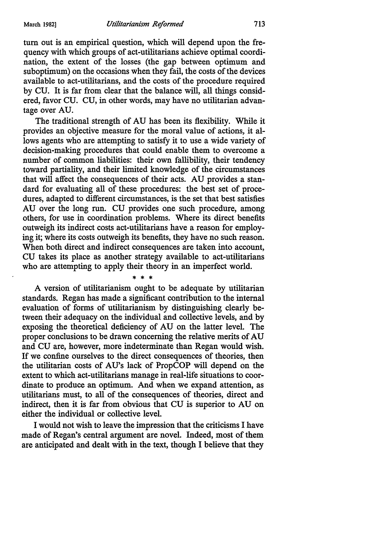tum out is an empirical question, which will depend upon the frequency with which groups of act-utilitarians achieve optimal coordination, the extent of the losses (the gap between optimum and suboptimum) on the occasions when they fail, the costs of the devices available to act-utilitarians, and the costs of the procedure required by CU. It is far from clear that the balance will, all things considered, favor CU. CU, in other words, may have no utilitarian advantage over AU.

The traditional strength of AU has been its flexibility. While it provides an objective measure for the moral value of actions, it allows agents who are attempting to satisfy it to use a wide variety of decision-making procedures that could enable them to overcome a number of common liabilities: their own fallibility, their tendency toward partiality, and their limited knowledge of the circumstances that will affect the consequences of their acts. AU provides a standard for evaluating all of these procedures: the best set of procedures, adapted to different circumstances, is the set that best satisfies AU over the long run. CU provides one such procedure, among others, for use in coordination problems. Where its direct benefits outweigh its indirect costs act-utilitarians have a reason for employing it; where its costs outweigh its benefits, they have no such reason. When both direct and indirect consequences are taken into account, CU takes its place as another strategy available to act-utilitarians who are attempting to apply their theory in an imperfect world.

\* \* \* A version of utilitarianism ought to be adequate by utilitarian standards. Regan has made a significant contribution to the internal evaluation of forms of utilitarianism by distinguishing clearly between their adequacy on the individual and collective levels, and by exposing the theoretical deficiency of AU on the latter level. The proper conclusions to be drawn concerning the relative merits of AU and CU are, however, more indeterminate than Regan would wish. If we confine ourselves to the direct consequences of theories, then the utilitarian costs of AU's lack of PropCOP will depend on the extent to which act-utilitarians manage in real-life situations to coordinate to produce an optimum. And when we expand attention, as utilitarians must, to all of the consequences of theories, direct and indirect, then it is far from obvious that CU is superior to AU on either the individual or collective level.

I would not wish to leave the impression that the criticisms I have made of Regan's central argument are novel. Indeed, most of them are anticipated and dealt with in the text, though I believe that they